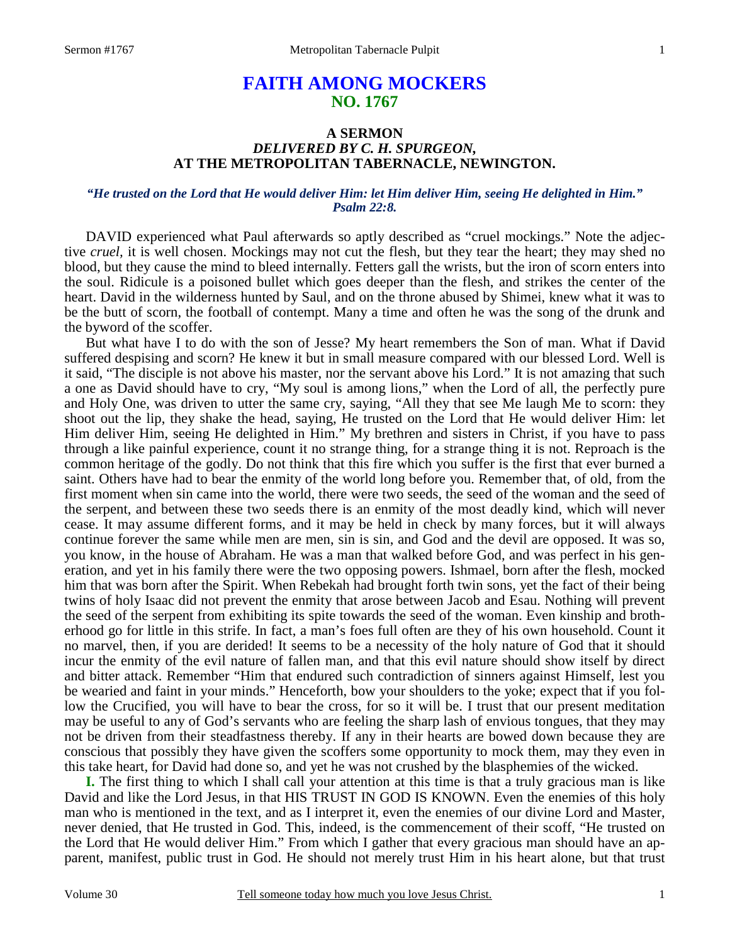# **FAITH AMONG MOCKERS NO. 1767**

### **A SERMON**  *DELIVERED BY C. H. SPURGEON,*  **AT THE METROPOLITAN TABERNACLE, NEWINGTON.**

### *"He trusted on the Lord that He would deliver Him: let Him deliver Him, seeing He delighted in Him." Psalm 22:8.*

DAVID experienced what Paul afterwards so aptly described as "cruel mockings." Note the adjective *cruel,* it is well chosen. Mockings may not cut the flesh, but they tear the heart; they may shed no blood, but they cause the mind to bleed internally. Fetters gall the wrists, but the iron of scorn enters into the soul. Ridicule is a poisoned bullet which goes deeper than the flesh, and strikes the center of the heart. David in the wilderness hunted by Saul, and on the throne abused by Shimei, knew what it was to be the butt of scorn, the football of contempt. Many a time and often he was the song of the drunk and the byword of the scoffer.

 But what have I to do with the son of Jesse? My heart remembers the Son of man. What if David suffered despising and scorn? He knew it but in small measure compared with our blessed Lord. Well is it said, "The disciple is not above his master, nor the servant above his Lord." It is not amazing that such a one as David should have to cry, "My soul is among lions," when the Lord of all, the perfectly pure and Holy One, was driven to utter the same cry, saying, "All they that see Me laugh Me to scorn: they shoot out the lip, they shake the head, saying, He trusted on the Lord that He would deliver Him: let Him deliver Him, seeing He delighted in Him." My brethren and sisters in Christ, if you have to pass through a like painful experience, count it no strange thing, for a strange thing it is not. Reproach is the common heritage of the godly. Do not think that this fire which you suffer is the first that ever burned a saint. Others have had to bear the enmity of the world long before you. Remember that, of old, from the first moment when sin came into the world, there were two seeds, the seed of the woman and the seed of the serpent, and between these two seeds there is an enmity of the most deadly kind, which will never cease. It may assume different forms, and it may be held in check by many forces, but it will always continue forever the same while men are men, sin is sin, and God and the devil are opposed. It was so, you know, in the house of Abraham. He was a man that walked before God, and was perfect in his generation, and yet in his family there were the two opposing powers. Ishmael, born after the flesh, mocked him that was born after the Spirit. When Rebekah had brought forth twin sons, yet the fact of their being twins of holy Isaac did not prevent the enmity that arose between Jacob and Esau. Nothing will prevent the seed of the serpent from exhibiting its spite towards the seed of the woman. Even kinship and brotherhood go for little in this strife. In fact, a man's foes full often are they of his own household. Count it no marvel, then, if you are derided! It seems to be a necessity of the holy nature of God that it should incur the enmity of the evil nature of fallen man, and that this evil nature should show itself by direct and bitter attack. Remember "Him that endured such contradiction of sinners against Himself, lest you be wearied and faint in your minds." Henceforth, bow your shoulders to the yoke; expect that if you follow the Crucified, you will have to bear the cross, for so it will be. I trust that our present meditation may be useful to any of God's servants who are feeling the sharp lash of envious tongues, that they may not be driven from their steadfastness thereby. If any in their hearts are bowed down because they are conscious that possibly they have given the scoffers some opportunity to mock them, may they even in this take heart, for David had done so, and yet he was not crushed by the blasphemies of the wicked.

**I.** The first thing to which I shall call your attention at this time is that a truly gracious man is like David and like the Lord Jesus, in that HIS TRUST IN GOD IS KNOWN. Even the enemies of this holy man who is mentioned in the text, and as I interpret it, even the enemies of our divine Lord and Master, never denied, that He trusted in God. This, indeed, is the commencement of their scoff, "He trusted on the Lord that He would deliver Him." From which I gather that every gracious man should have an apparent, manifest, public trust in God. He should not merely trust Him in his heart alone, but that trust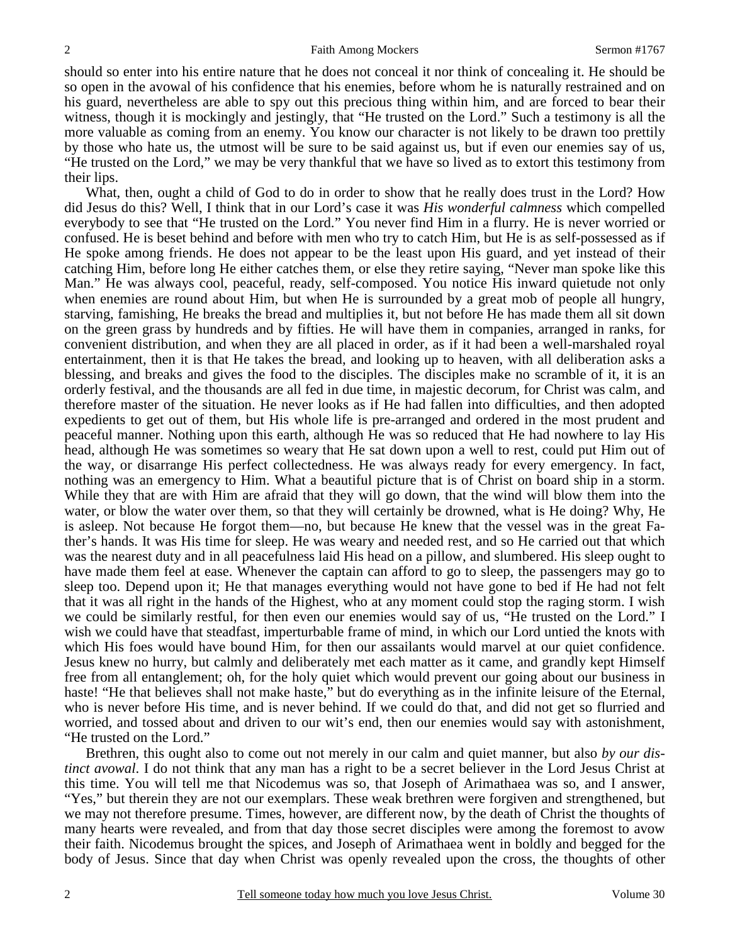should so enter into his entire nature that he does not conceal it nor think of concealing it. He should be so open in the avowal of his confidence that his enemies, before whom he is naturally restrained and on his guard, nevertheless are able to spy out this precious thing within him, and are forced to bear their witness, though it is mockingly and jestingly, that "He trusted on the Lord." Such a testimony is all the more valuable as coming from an enemy. You know our character is not likely to be drawn too prettily by those who hate us, the utmost will be sure to be said against us, but if even our enemies say of us, "He trusted on the Lord," we may be very thankful that we have so lived as to extort this testimony from their lips.

 What, then, ought a child of God to do in order to show that he really does trust in the Lord? How did Jesus do this? Well, I think that in our Lord's case it was *His wonderful calmness* which compelled everybody to see that "He trusted on the Lord." You never find Him in a flurry. He is never worried or confused. He is beset behind and before with men who try to catch Him, but He is as self-possessed as if He spoke among friends. He does not appear to be the least upon His guard, and yet instead of their catching Him, before long He either catches them, or else they retire saying, "Never man spoke like this Man." He was always cool, peaceful, ready, self-composed. You notice His inward quietude not only when enemies are round about Him, but when He is surrounded by a great mob of people all hungry, starving, famishing, He breaks the bread and multiplies it, but not before He has made them all sit down on the green grass by hundreds and by fifties. He will have them in companies, arranged in ranks, for convenient distribution, and when they are all placed in order, as if it had been a well-marshaled royal entertainment, then it is that He takes the bread, and looking up to heaven, with all deliberation asks a blessing, and breaks and gives the food to the disciples. The disciples make no scramble of it, it is an orderly festival, and the thousands are all fed in due time, in majestic decorum, for Christ was calm, and therefore master of the situation. He never looks as if He had fallen into difficulties, and then adopted expedients to get out of them, but His whole life is pre-arranged and ordered in the most prudent and peaceful manner. Nothing upon this earth, although He was so reduced that He had nowhere to lay His head, although He was sometimes so weary that He sat down upon a well to rest, could put Him out of the way, or disarrange His perfect collectedness. He was always ready for every emergency. In fact, nothing was an emergency to Him. What a beautiful picture that is of Christ on board ship in a storm. While they that are with Him are afraid that they will go down, that the wind will blow them into the water, or blow the water over them, so that they will certainly be drowned, what is He doing? Why, He is asleep. Not because He forgot them—no, but because He knew that the vessel was in the great Father's hands. It was His time for sleep. He was weary and needed rest, and so He carried out that which was the nearest duty and in all peacefulness laid His head on a pillow, and slumbered. His sleep ought to have made them feel at ease. Whenever the captain can afford to go to sleep, the passengers may go to sleep too. Depend upon it; He that manages everything would not have gone to bed if He had not felt that it was all right in the hands of the Highest, who at any moment could stop the raging storm. I wish we could be similarly restful, for then even our enemies would say of us, "He trusted on the Lord." I wish we could have that steadfast, imperturbable frame of mind, in which our Lord untied the knots with which His foes would have bound Him, for then our assailants would marvel at our quiet confidence. Jesus knew no hurry, but calmly and deliberately met each matter as it came, and grandly kept Himself free from all entanglement; oh, for the holy quiet which would prevent our going about our business in haste! "He that believes shall not make haste," but do everything as in the infinite leisure of the Eternal, who is never before His time, and is never behind. If we could do that, and did not get so flurried and worried, and tossed about and driven to our wit's end, then our enemies would say with astonishment, "He trusted on the Lord."

 Brethren, this ought also to come out not merely in our calm and quiet manner, but also *by our distinct avowal*. I do not think that any man has a right to be a secret believer in the Lord Jesus Christ at this time. You will tell me that Nicodemus was so, that Joseph of Arimathaea was so, and I answer, "Yes," but therein they are not our exemplars. These weak brethren were forgiven and strengthened, but we may not therefore presume. Times, however, are different now, by the death of Christ the thoughts of many hearts were revealed, and from that day those secret disciples were among the foremost to avow their faith. Nicodemus brought the spices, and Joseph of Arimathaea went in boldly and begged for the body of Jesus. Since that day when Christ was openly revealed upon the cross, the thoughts of other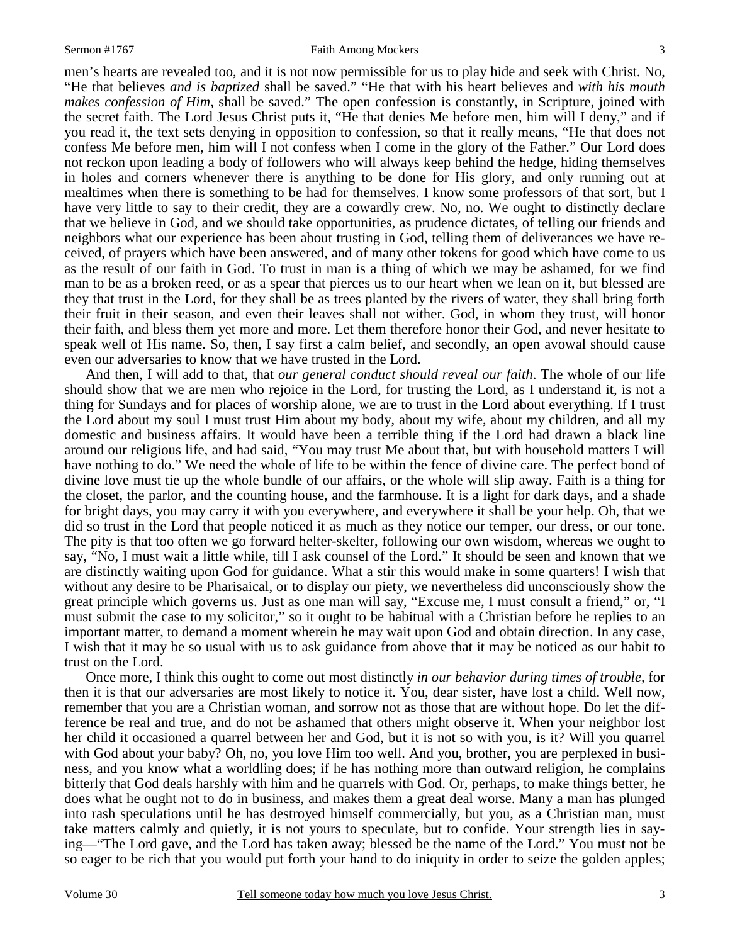men's hearts are revealed too, and it is not now permissible for us to play hide and seek with Christ. No, "He that believes *and is baptized* shall be saved." "He that with his heart believes and *with his mouth makes confession of Him*, shall be saved." The open confession is constantly, in Scripture, joined with the secret faith. The Lord Jesus Christ puts it, "He that denies Me before men, him will I deny," and if you read it, the text sets denying in opposition to confession, so that it really means, "He that does not confess Me before men, him will I not confess when I come in the glory of the Father." Our Lord does not reckon upon leading a body of followers who will always keep behind the hedge, hiding themselves in holes and corners whenever there is anything to be done for His glory, and only running out at mealtimes when there is something to be had for themselves. I know some professors of that sort, but I have very little to say to their credit, they are a cowardly crew. No, no. We ought to distinctly declare that we believe in God, and we should take opportunities, as prudence dictates, of telling our friends and neighbors what our experience has been about trusting in God, telling them of deliverances we have received, of prayers which have been answered, and of many other tokens for good which have come to us as the result of our faith in God. To trust in man is a thing of which we may be ashamed, for we find man to be as a broken reed, or as a spear that pierces us to our heart when we lean on it, but blessed are they that trust in the Lord, for they shall be as trees planted by the rivers of water, they shall bring forth their fruit in their season, and even their leaves shall not wither. God, in whom they trust, will honor their faith, and bless them yet more and more. Let them therefore honor their God, and never hesitate to speak well of His name. So, then, I say first a calm belief, and secondly, an open avowal should cause even our adversaries to know that we have trusted in the Lord.

 And then, I will add to that, that *our general conduct should reveal our faith*. The whole of our life should show that we are men who rejoice in the Lord, for trusting the Lord, as I understand it, is not a thing for Sundays and for places of worship alone, we are to trust in the Lord about everything. If I trust the Lord about my soul I must trust Him about my body, about my wife, about my children, and all my domestic and business affairs. It would have been a terrible thing if the Lord had drawn a black line around our religious life, and had said, "You may trust Me about that, but with household matters I will have nothing to do." We need the whole of life to be within the fence of divine care. The perfect bond of divine love must tie up the whole bundle of our affairs, or the whole will slip away. Faith is a thing for the closet, the parlor, and the counting house, and the farmhouse. It is a light for dark days, and a shade for bright days, you may carry it with you everywhere, and everywhere it shall be your help. Oh, that we did so trust in the Lord that people noticed it as much as they notice our temper, our dress, or our tone. The pity is that too often we go forward helter-skelter, following our own wisdom, whereas we ought to say, "No, I must wait a little while, till I ask counsel of the Lord." It should be seen and known that we are distinctly waiting upon God for guidance. What a stir this would make in some quarters! I wish that without any desire to be Pharisaical, or to display our piety, we nevertheless did unconsciously show the great principle which governs us. Just as one man will say, "Excuse me, I must consult a friend," or, "I must submit the case to my solicitor," so it ought to be habitual with a Christian before he replies to an important matter, to demand a moment wherein he may wait upon God and obtain direction. In any case, I wish that it may be so usual with us to ask guidance from above that it may be noticed as our habit to trust on the Lord.

 Once more, I think this ought to come out most distinctly *in our behavior during times of trouble,* for then it is that our adversaries are most likely to notice it. You, dear sister, have lost a child. Well now, remember that you are a Christian woman, and sorrow not as those that are without hope. Do let the difference be real and true, and do not be ashamed that others might observe it. When your neighbor lost her child it occasioned a quarrel between her and God, but it is not so with you, is it? Will you quarrel with God about your baby? Oh, no, you love Him too well. And you, brother, you are perplexed in business, and you know what a worldling does; if he has nothing more than outward religion, he complains bitterly that God deals harshly with him and he quarrels with God. Or, perhaps, to make things better, he does what he ought not to do in business, and makes them a great deal worse. Many a man has plunged into rash speculations until he has destroyed himself commercially, but you, as a Christian man, must take matters calmly and quietly, it is not yours to speculate, but to confide. Your strength lies in saying—"The Lord gave, and the Lord has taken away; blessed be the name of the Lord." You must not be so eager to be rich that you would put forth your hand to do iniquity in order to seize the golden apples;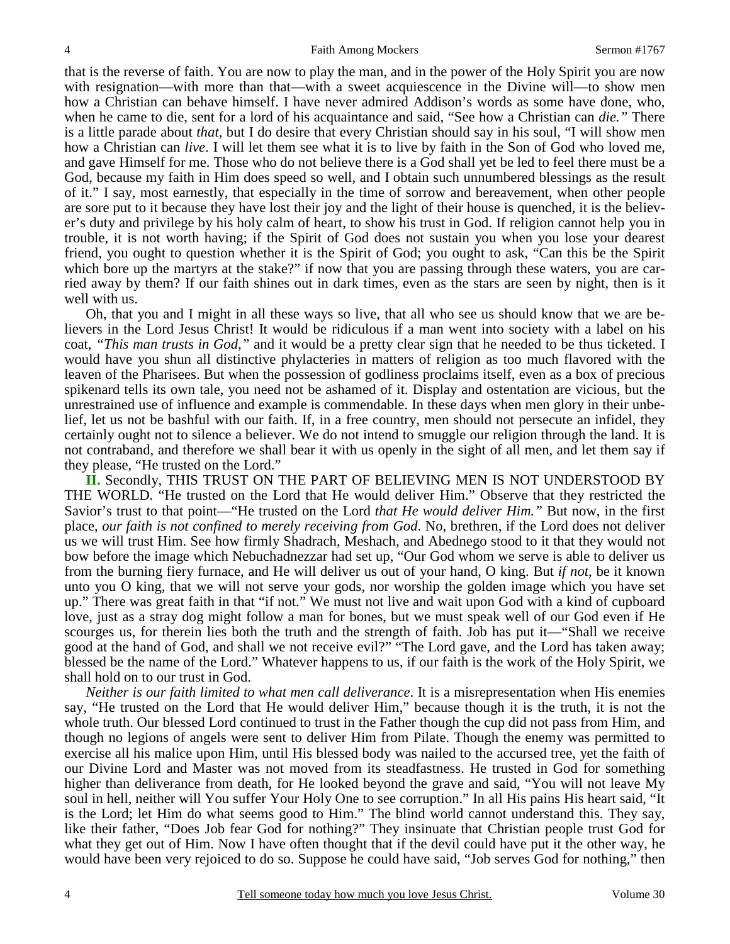that is the reverse of faith. You are now to play the man, and in the power of the Holy Spirit you are now with resignation—with more than that—with a sweet acquiescence in the Divine will—to show men how a Christian can behave himself. I have never admired Addison's words as some have done, who, when he came to die, sent for a lord of his acquaintance and said, "See how a Christian can *die."* There is a little parade about *that,* but I do desire that every Christian should say in his soul, "I will show men how a Christian can *live*. I will let them see what it is to live by faith in the Son of God who loved me, and gave Himself for me. Those who do not believe there is a God shall yet be led to feel there must be a God, because my faith in Him does speed so well, and I obtain such unnumbered blessings as the result of it." I say, most earnestly, that especially in the time of sorrow and bereavement, when other people are sore put to it because they have lost their joy and the light of their house is quenched, it is the believer's duty and privilege by his holy calm of heart, to show his trust in God. If religion cannot help you in trouble, it is not worth having; if the Spirit of God does not sustain you when you lose your dearest friend, you ought to question whether it is the Spirit of God; you ought to ask, "Can this be the Spirit which bore up the martyrs at the stake?" if now that you are passing through these waters, you are carried away by them? If our faith shines out in dark times, even as the stars are seen by night, then is it well with us.

 Oh, that you and I might in all these ways so live, that all who see us should know that we are believers in the Lord Jesus Christ! It would be ridiculous if a man went into society with a label on his coat, *"This man trusts in God,"* and it would be a pretty clear sign that he needed to be thus ticketed. I would have you shun all distinctive phylacteries in matters of religion as too much flavored with the leaven of the Pharisees. But when the possession of godliness proclaims itself, even as a box of precious spikenard tells its own tale, you need not be ashamed of it. Display and ostentation are vicious, but the unrestrained use of influence and example is commendable. In these days when men glory in their unbelief, let us not be bashful with our faith. If, in a free country, men should not persecute an infidel, they certainly ought not to silence a believer. We do not intend to smuggle our religion through the land. It is not contraband, and therefore we shall bear it with us openly in the sight of all men, and let them say if they please, "He trusted on the Lord."

**II.** Secondly, THIS TRUST ON THE PART OF BELIEVING MEN IS NOT UNDERSTOOD BY THE WORLD. "He trusted on the Lord that He would deliver Him." Observe that they restricted the Savior's trust to that point—"He trusted on the Lord *that He would deliver Him."* But now, in the first place, *our faith is not confined to merely receiving from God*. No, brethren, if the Lord does not deliver us we will trust Him. See how firmly Shadrach, Meshach, and Abednego stood to it that they would not bow before the image which Nebuchadnezzar had set up, "Our God whom we serve is able to deliver us from the burning fiery furnace, and He will deliver us out of your hand, O king. But *if not,* be it known unto you O king, that we will not serve your gods, nor worship the golden image which you have set up." There was great faith in that "if not." We must not live and wait upon God with a kind of cupboard love, just as a stray dog might follow a man for bones, but we must speak well of our God even if He scourges us, for therein lies both the truth and the strength of faith. Job has put it—"Shall we receive good at the hand of God, and shall we not receive evil?" "The Lord gave, and the Lord has taken away; blessed be the name of the Lord." Whatever happens to us, if our faith is the work of the Holy Spirit, we shall hold on to our trust in God.

*Neither is our faith limited to what men call deliverance*. It is a misrepresentation when His enemies say, "He trusted on the Lord that He would deliver Him," because though it is the truth, it is not the whole truth. Our blessed Lord continued to trust in the Father though the cup did not pass from Him, and though no legions of angels were sent to deliver Him from Pilate. Though the enemy was permitted to exercise all his malice upon Him, until His blessed body was nailed to the accursed tree, yet the faith of our Divine Lord and Master was not moved from its steadfastness. He trusted in God for something higher than deliverance from death, for He looked beyond the grave and said, "You will not leave My soul in hell, neither will You suffer Your Holy One to see corruption." In all His pains His heart said, "It is the Lord; let Him do what seems good to Him." The blind world cannot understand this. They say, like their father, "Does Job fear God for nothing?" They insinuate that Christian people trust God for what they get out of Him. Now I have often thought that if the devil could have put it the other way, he would have been very rejoiced to do so. Suppose he could have said, "Job serves God for nothing," then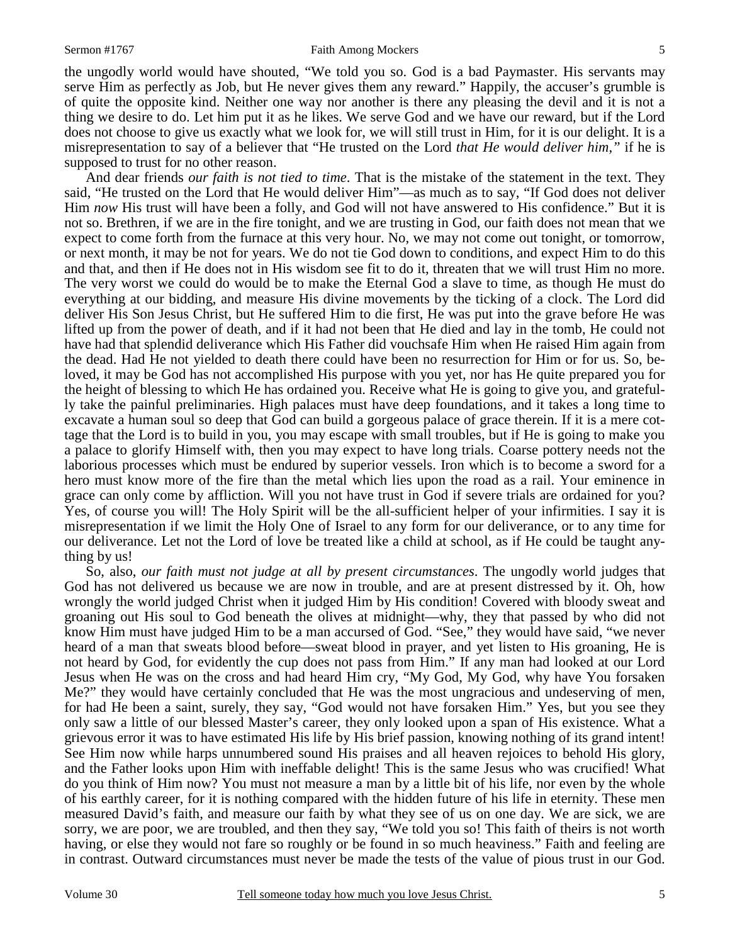#### Sermon #1767 **Faith Among Mockers** 5

the ungodly world would have shouted, "We told you so. God is a bad Paymaster. His servants may serve Him as perfectly as Job, but He never gives them any reward." Happily, the accuser's grumble is of quite the opposite kind. Neither one way nor another is there any pleasing the devil and it is not a thing we desire to do. Let him put it as he likes. We serve God and we have our reward, but if the Lord does not choose to give us exactly what we look for, we will still trust in Him, for it is our delight. It is a misrepresentation to say of a believer that "He trusted on the Lord *that He would deliver him,"* if he is supposed to trust for no other reason.

 And dear friends *our faith is not tied to time*. That is the mistake of the statement in the text. They said, "He trusted on the Lord that He would deliver Him"—as much as to say, "If God does not deliver Him *now* His trust will have been a folly, and God will not have answered to His confidence." But it is not so. Brethren, if we are in the fire tonight, and we are trusting in God, our faith does not mean that we expect to come forth from the furnace at this very hour. No, we may not come out tonight, or tomorrow, or next month, it may be not for years. We do not tie God down to conditions, and expect Him to do this and that, and then if He does not in His wisdom see fit to do it, threaten that we will trust Him no more. The very worst we could do would be to make the Eternal God a slave to time, as though He must do everything at our bidding, and measure His divine movements by the ticking of a clock. The Lord did deliver His Son Jesus Christ, but He suffered Him to die first, He was put into the grave before He was lifted up from the power of death, and if it had not been that He died and lay in the tomb, He could not have had that splendid deliverance which His Father did vouchsafe Him when He raised Him again from the dead. Had He not yielded to death there could have been no resurrection for Him or for us. So, beloved, it may be God has not accomplished His purpose with you yet, nor has He quite prepared you for the height of blessing to which He has ordained you. Receive what He is going to give you, and gratefully take the painful preliminaries. High palaces must have deep foundations, and it takes a long time to excavate a human soul so deep that God can build a gorgeous palace of grace therein. If it is a mere cottage that the Lord is to build in you, you may escape with small troubles, but if He is going to make you a palace to glorify Himself with, then you may expect to have long trials. Coarse pottery needs not the laborious processes which must be endured by superior vessels. Iron which is to become a sword for a hero must know more of the fire than the metal which lies upon the road as a rail. Your eminence in grace can only come by affliction. Will you not have trust in God if severe trials are ordained for you? Yes, of course you will! The Holy Spirit will be the all-sufficient helper of your infirmities. I say it is misrepresentation if we limit the Holy One of Israel to any form for our deliverance, or to any time for our deliverance. Let not the Lord of love be treated like a child at school, as if He could be taught anything by us!

 So, also, *our faith must not judge at all by present circumstances*. The ungodly world judges that God has not delivered us because we are now in trouble, and are at present distressed by it. Oh, how wrongly the world judged Christ when it judged Him by His condition! Covered with bloody sweat and groaning out His soul to God beneath the olives at midnight—why, they that passed by who did not know Him must have judged Him to be a man accursed of God. "See," they would have said, "we never heard of a man that sweats blood before—sweat blood in prayer, and yet listen to His groaning, He is not heard by God, for evidently the cup does not pass from Him." If any man had looked at our Lord Jesus when He was on the cross and had heard Him cry, "My God, My God, why have You forsaken Me?" they would have certainly concluded that He was the most ungracious and undeserving of men, for had He been a saint, surely, they say, "God would not have forsaken Him." Yes, but you see they only saw a little of our blessed Master's career, they only looked upon a span of His existence. What a grievous error it was to have estimated His life by His brief passion, knowing nothing of its grand intent! See Him now while harps unnumbered sound His praises and all heaven rejoices to behold His glory, and the Father looks upon Him with ineffable delight! This is the same Jesus who was crucified! What do you think of Him now? You must not measure a man by a little bit of his life, nor even by the whole of his earthly career, for it is nothing compared with the hidden future of his life in eternity. These men measured David's faith, and measure our faith by what they see of us on one day. We are sick, we are sorry, we are poor, we are troubled, and then they say, "We told you so! This faith of theirs is not worth having, or else they would not fare so roughly or be found in so much heaviness." Faith and feeling are in contrast. Outward circumstances must never be made the tests of the value of pious trust in our God.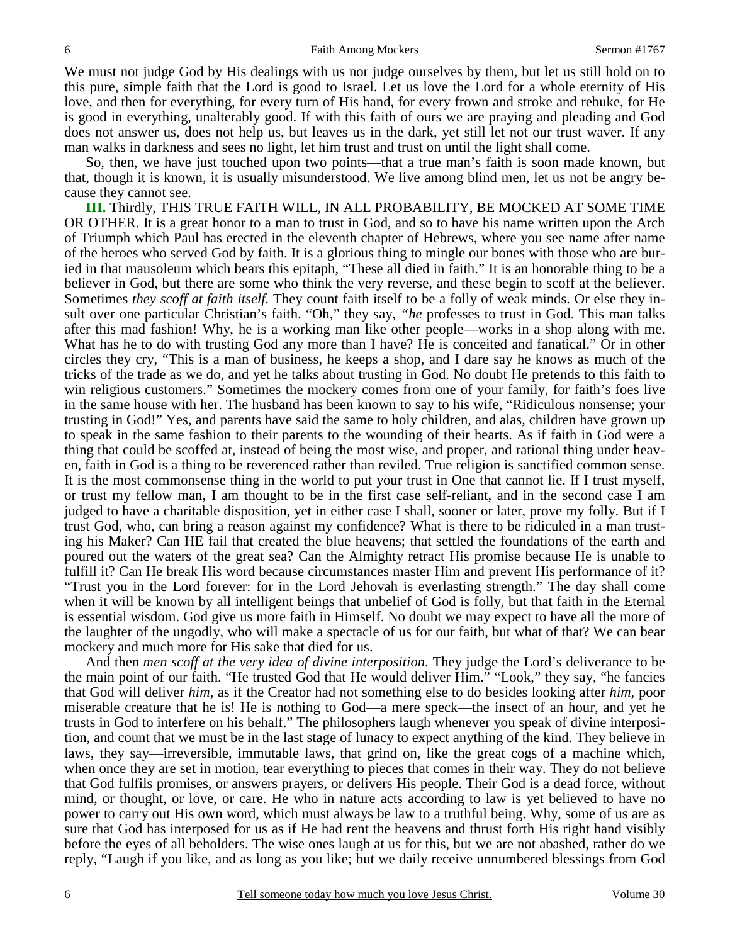We must not judge God by His dealings with us nor judge ourselves by them, but let us still hold on to this pure, simple faith that the Lord is good to Israel. Let us love the Lord for a whole eternity of His love, and then for everything, for every turn of His hand, for every frown and stroke and rebuke, for He is good in everything, unalterably good. If with this faith of ours we are praying and pleading and God does not answer us, does not help us, but leaves us in the dark, yet still let not our trust waver. If any man walks in darkness and sees no light, let him trust and trust on until the light shall come.

 So, then, we have just touched upon two points—that a true man's faith is soon made known, but that, though it is known, it is usually misunderstood. We live among blind men, let us not be angry because they cannot see.

**III.** Thirdly, THIS TRUE FAITH WILL, IN ALL PROBABILITY, BE MOCKED AT SOME TIME OR OTHER. It is a great honor to a man to trust in God, and so to have his name written upon the Arch of Triumph which Paul has erected in the eleventh chapter of Hebrews, where you see name after name of the heroes who served God by faith. It is a glorious thing to mingle our bones with those who are buried in that mausoleum which bears this epitaph, "These all died in faith." It is an honorable thing to be a believer in God, but there are some who think the very reverse, and these begin to scoff at the believer. Sometimes *they scoff at faith itself.* They count faith itself to be a folly of weak minds. Or else they insult over one particular Christian's faith. "Oh," they say, *"he* professes to trust in God. This man talks after this mad fashion! Why, he is a working man like other people—works in a shop along with me. What has he to do with trusting God any more than I have? He is conceited and fanatical." Or in other circles they cry, "This is a man of business, he keeps a shop, and I dare say he knows as much of the tricks of the trade as we do, and yet he talks about trusting in God. No doubt He pretends to this faith to win religious customers." Sometimes the mockery comes from one of your family, for faith's foes live in the same house with her. The husband has been known to say to his wife, "Ridiculous nonsense; your trusting in God!" Yes, and parents have said the same to holy children, and alas, children have grown up to speak in the same fashion to their parents to the wounding of their hearts. As if faith in God were a thing that could be scoffed at, instead of being the most wise, and proper, and rational thing under heaven, faith in God is a thing to be reverenced rather than reviled. True religion is sanctified common sense. It is the most commonsense thing in the world to put your trust in One that cannot lie. If I trust myself, or trust my fellow man, I am thought to be in the first case self-reliant, and in the second case I am judged to have a charitable disposition, yet in either case I shall, sooner or later, prove my folly. But if I trust God, who, can bring a reason against my confidence? What is there to be ridiculed in a man trusting his Maker? Can HE fail that created the blue heavens; that settled the foundations of the earth and poured out the waters of the great sea? Can the Almighty retract His promise because He is unable to fulfill it? Can He break His word because circumstances master Him and prevent His performance of it? "Trust you in the Lord forever: for in the Lord Jehovah is everlasting strength." The day shall come when it will be known by all intelligent beings that unbelief of God is folly, but that faith in the Eternal is essential wisdom. God give us more faith in Himself. No doubt we may expect to have all the more of the laughter of the ungodly, who will make a spectacle of us for our faith, but what of that? We can bear mockery and much more for His sake that died for us.

 And then *men scoff at the very idea of divine interposition*. They judge the Lord's deliverance to be the main point of our faith. "He trusted God that He would deliver Him." "Look," they say, "he fancies that God will deliver *him,* as if the Creator had not something else to do besides looking after *him,* poor miserable creature that he is! He is nothing to God—a mere speck—the insect of an hour, and yet he trusts in God to interfere on his behalf." The philosophers laugh whenever you speak of divine interposition, and count that we must be in the last stage of lunacy to expect anything of the kind. They believe in laws, they say—irreversible, immutable laws, that grind on, like the great cogs of a machine which, when once they are set in motion, tear everything to pieces that comes in their way. They do not believe that God fulfils promises, or answers prayers, or delivers His people. Their God is a dead force, without mind, or thought, or love, or care. He who in nature acts according to law is yet believed to have no power to carry out His own word, which must always be law to a truthful being. Why, some of us are as sure that God has interposed for us as if He had rent the heavens and thrust forth His right hand visibly before the eyes of all beholders. The wise ones laugh at us for this, but we are not abashed, rather do we reply, "Laugh if you like, and as long as you like; but we daily receive unnumbered blessings from God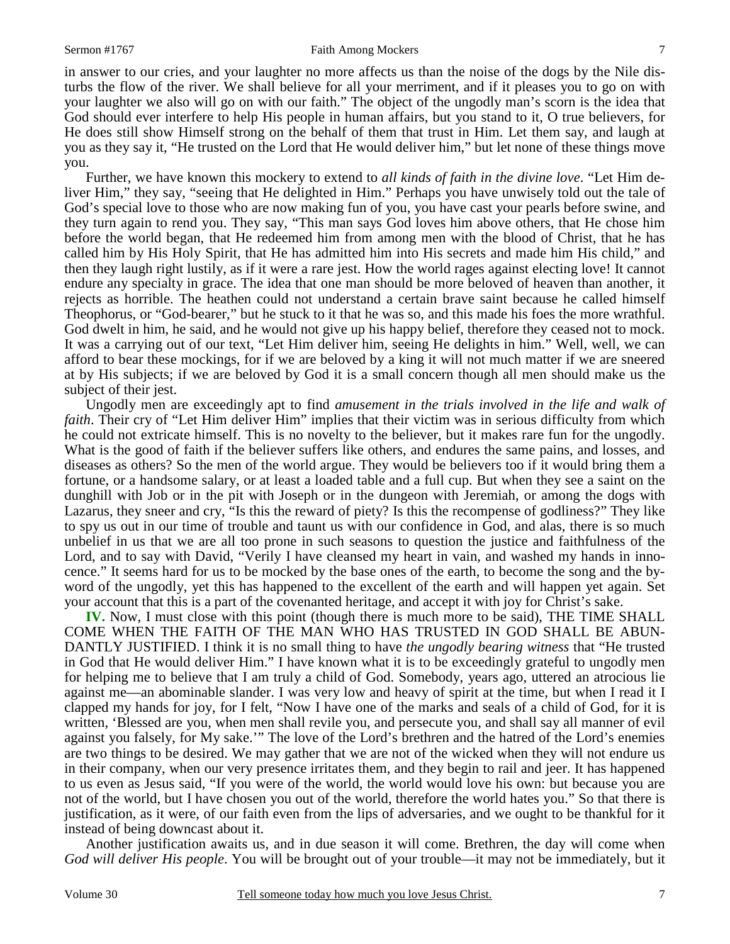in answer to our cries, and your laughter no more affects us than the noise of the dogs by the Nile disturbs the flow of the river. We shall believe for all your merriment, and if it pleases you to go on with your laughter we also will go on with our faith." The object of the ungodly man's scorn is the idea that God should ever interfere to help His people in human affairs, but you stand to it, O true believers, for He does still show Himself strong on the behalf of them that trust in Him. Let them say, and laugh at you as they say it, "He trusted on the Lord that He would deliver him," but let none of these things move you.

 Further, we have known this mockery to extend to *all kinds of faith in the divine love*. "Let Him deliver Him," they say, "seeing that He delighted in Him." Perhaps you have unwisely told out the tale of God's special love to those who are now making fun of you, you have cast your pearls before swine, and they turn again to rend you. They say, "This man says God loves him above others, that He chose him before the world began, that He redeemed him from among men with the blood of Christ, that he has called him by His Holy Spirit, that He has admitted him into His secrets and made him His child," and then they laugh right lustily, as if it were a rare jest. How the world rages against electing love! It cannot endure any specialty in grace. The idea that one man should be more beloved of heaven than another, it rejects as horrible. The heathen could not understand a certain brave saint because he called himself Theophorus, or "God-bearer," but he stuck to it that he was so, and this made his foes the more wrathful. God dwelt in him, he said, and he would not give up his happy belief, therefore they ceased not to mock. It was a carrying out of our text, "Let Him deliver him, seeing He delights in him." Well, well, we can afford to bear these mockings, for if we are beloved by a king it will not much matter if we are sneered at by His subjects; if we are beloved by God it is a small concern though all men should make us the subject of their jest.

 Ungodly men are exceedingly apt to find *amusement in the trials involved in the life and walk of faith*. Their cry of "Let Him deliver Him" implies that their victim was in serious difficulty from which he could not extricate himself. This is no novelty to the believer, but it makes rare fun for the ungodly. What is the good of faith if the believer suffers like others, and endures the same pains, and losses, and diseases as others? So the men of the world argue. They would be believers too if it would bring them a fortune, or a handsome salary, or at least a loaded table and a full cup. But when they see a saint on the dunghill with Job or in the pit with Joseph or in the dungeon with Jeremiah, or among the dogs with Lazarus, they sneer and cry, "Is this the reward of piety? Is this the recompense of godliness?" They like to spy us out in our time of trouble and taunt us with our confidence in God, and alas, there is so much unbelief in us that we are all too prone in such seasons to question the justice and faithfulness of the Lord, and to say with David, "Verily I have cleansed my heart in vain, and washed my hands in innocence." It seems hard for us to be mocked by the base ones of the earth, to become the song and the byword of the ungodly, yet this has happened to the excellent of the earth and will happen yet again. Set your account that this is a part of the covenanted heritage, and accept it with joy for Christ's sake.

**IV.** Now, I must close with this point (though there is much more to be said), THE TIME SHALL COME WHEN THE FAITH OF THE MAN WHO HAS TRUSTED IN GOD SHALL BE ABUN-DANTLY JUSTIFIED. I think it is no small thing to have *the ungodly bearing witness* that "He trusted in God that He would deliver Him." I have known what it is to be exceedingly grateful to ungodly men for helping me to believe that I am truly a child of God. Somebody, years ago, uttered an atrocious lie against me—an abominable slander. I was very low and heavy of spirit at the time, but when I read it I clapped my hands for joy, for I felt, "Now I have one of the marks and seals of a child of God, for it is written, 'Blessed are you, when men shall revile you, and persecute you, and shall say all manner of evil against you falsely, for My sake.'" The love of the Lord's brethren and the hatred of the Lord's enemies are two things to be desired. We may gather that we are not of the wicked when they will not endure us in their company, when our very presence irritates them, and they begin to rail and jeer. It has happened to us even as Jesus said, "If you were of the world, the world would love his own: but because you are not of the world, but I have chosen you out of the world, therefore the world hates you." So that there is justification, as it were, of our faith even from the lips of adversaries, and we ought to be thankful for it instead of being downcast about it.

 Another justification awaits us, and in due season it will come. Brethren, the day will come when *God will deliver His people*. You will be brought out of your trouble—it may not be immediately, but it